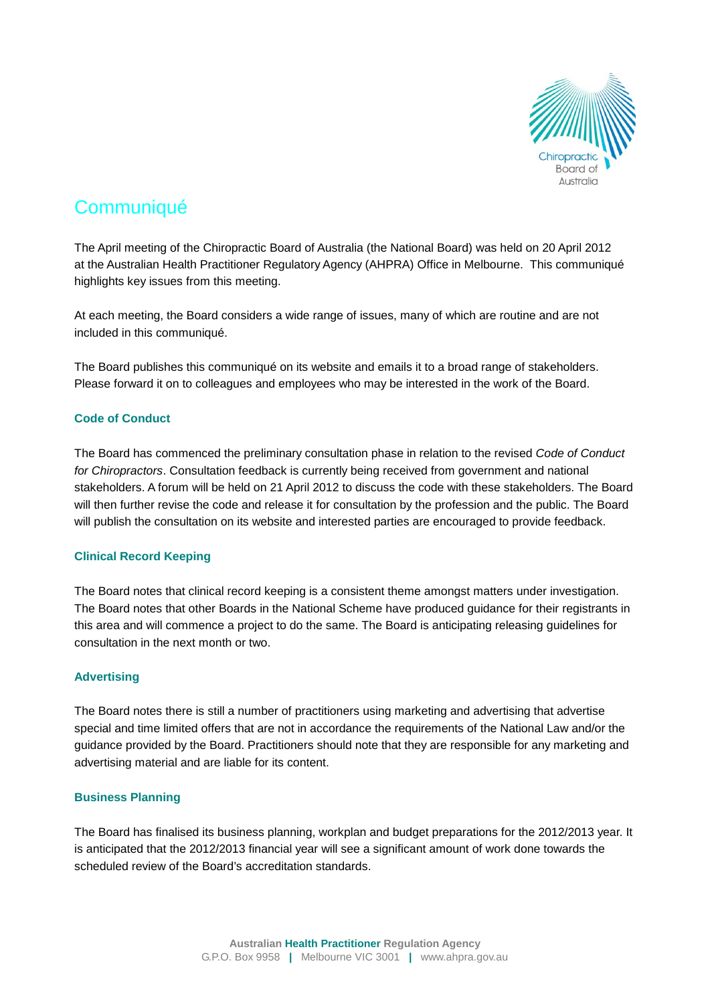

# **Communiqué**

The April meeting of the Chiropractic Board of Australia (the National Board) was held on 20 April 2012 at the Australian Health Practitioner Regulatory Agency (AHPRA) Office in Melbourne. This communiqué highlights key issues from this meeting.

At each meeting, the Board considers a wide range of issues, many of which are routine and are not included in this communiqué.

The Board publishes this communiqué on its website and emails it to a broad range of stakeholders. Please forward it on to colleagues and employees who may be interested in the work of the Board.

# **Code of Conduct**

The Board has commenced the preliminary consultation phase in relation to the revised *Code of Conduct for Chiropractors*. Consultation feedback is currently being received from government and national stakeholders. A forum will be held on 21 April 2012 to discuss the code with these stakeholders. The Board will then further revise the code and release it for consultation by the profession and the public. The Board will publish the consultation on its website and interested parties are encouraged to provide feedback.

# **Clinical Record Keeping**

The Board notes that clinical record keeping is a consistent theme amongst matters under investigation. The Board notes that other Boards in the National Scheme have produced guidance for their registrants in this area and will commence a project to do the same. The Board is anticipating releasing guidelines for consultation in the next month or two.

# **Advertising**

The Board notes there is still a number of practitioners using marketing and advertising that advertise special and time limited offers that are not in accordance the requirements of the National Law and/or the guidance provided by the Board. Practitioners should note that they are responsible for any marketing and advertising material and are liable for its content.

## **Business Planning**

The Board has finalised its business planning, workplan and budget preparations for the 2012/2013 year. It is anticipated that the 2012/2013 financial year will see a significant amount of work done towards the scheduled review of the Board's accreditation standards.